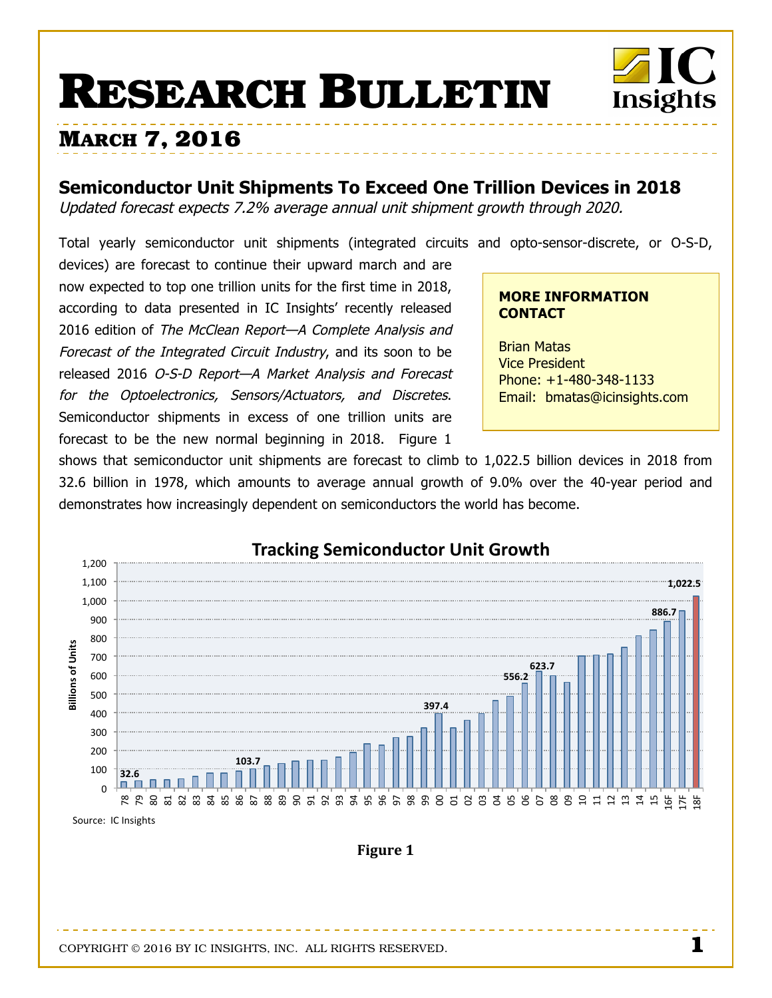# **RESEARCH BULLETIN**



## **MARCH 7, 2016**

### **Semiconductor Unit Shipments To Exceed One Trillion Devices in 2018**

Updated forecast expects 7.2% average annual unit shipment growth through 2020.

Total yearly semiconductor unit shipments (integrated circuits and opto-sensor-discrete, or O-S-D,

devices) are forecast to continue their upward march and are now expected to top one trillion units for the first time in 2018, according to data presented in IC Insights' recently released 2016 edition of The McClean Report-A Complete Analysis and Forecast of the Integrated Circuit Industry, and its soon to be released 2016 O-S-D Report—A Market Analysis and Forecast for the Optoelectronics, Sensors/Actuators, and Discretes. Semiconductor shipments in excess of one trillion units are forecast to be the new normal beginning in 2018. Figure 1

#### **MORE INFORMATION CONTACT**

Brian Matas Vice President Phone: +1-480-348-1133 Email: bmatas@icinsights.com

shows that semiconductor unit shipments are forecast to climb to 1,022.5 billion devices in 2018 from 32.6 billion in 1978, which amounts to average annual growth of 9.0% over the 40-year period and demonstrates how increasingly dependent on semiconductors the world has become.

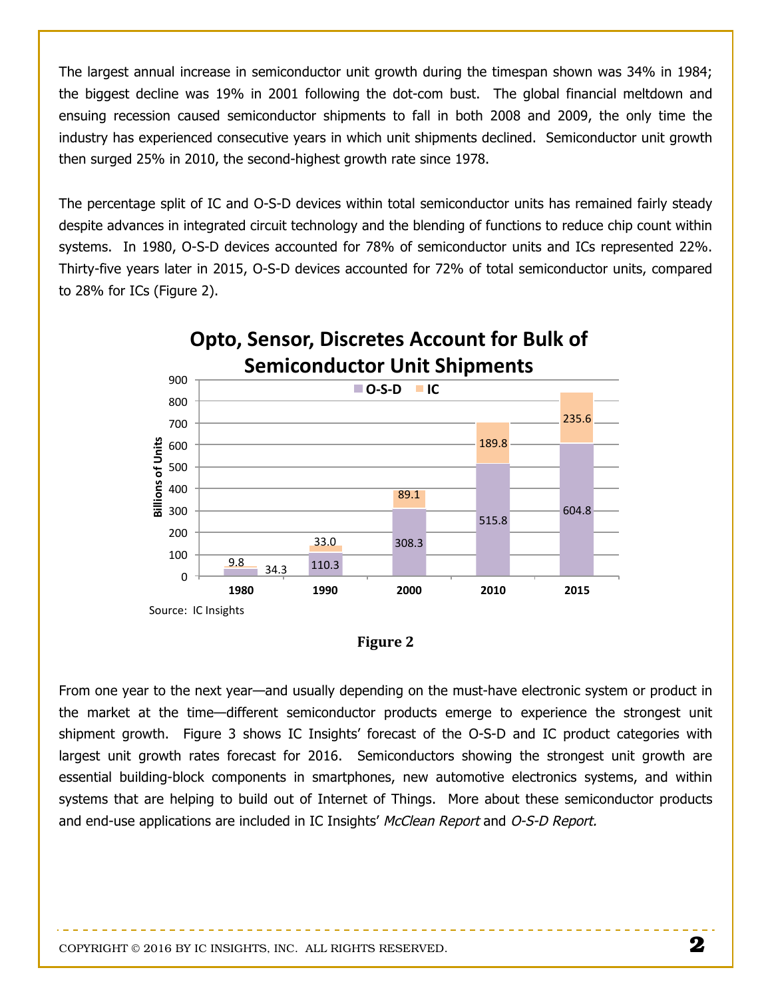The largest annual increase in semiconductor unit growth during the timespan shown was 34% in 1984; the biggest decline was 19% in 2001 following the dot-com bust. The global financial meltdown and ensuing recession caused semiconductor shipments to fall in both 2008 and 2009, the only time the industry has experienced consecutive years in which unit shipments declined. Semiconductor unit growth then surged 25% in 2010, the second-highest growth rate since 1978.

The percentage split of IC and O-S-D devices within total semiconductor units has remained fairly steady despite advances in integrated circuit technology and the blending of functions to reduce chip count within systems. In 1980, O-S-D devices accounted for 78% of semiconductor units and ICs represented 22%. Thirty-five years later in 2015, O-S-D devices accounted for 72% of total semiconductor units, compared to 28% for ICs (Figure 2).



| ווסו<br>П |
|-----------|
|-----------|

From one year to the next year—and usually depending on the must-have electronic system or product in the market at the time—different semiconductor products emerge to experience the strongest unit shipment growth. Figure 3 shows IC Insights' forecast of the O-S-D and IC product categories with largest unit growth rates forecast for 2016. Semiconductors showing the strongest unit growth are essential building-block components in smartphones, new automotive electronics systems, and within systems that are helping to build out of Internet of Things. More about these semiconductor products and end-use applications are included in IC Insights' McClean Report and O-S-D Report.